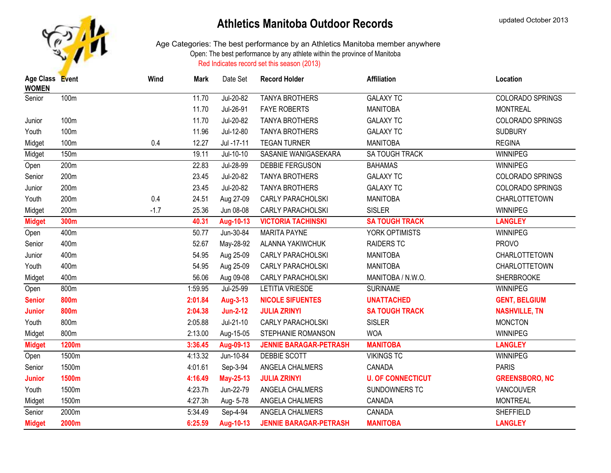

| Age Class Event<br><b>WOMEN</b> |       | Wind   | <b>Mark</b> | Date Set         | <b>Record Holder</b>          | <b>Affiliation</b>       | Location                |
|---------------------------------|-------|--------|-------------|------------------|-------------------------------|--------------------------|-------------------------|
| Senior                          | 100m  |        | 11.70       | Jul-20-82        | <b>TANYA BROTHERS</b>         | <b>GALAXY TC</b>         | <b>COLORADO SPRINGS</b> |
|                                 |       |        | 11.70       | Jul-26-91        | <b>FAYE ROBERTS</b>           | <b>MANITOBA</b>          | <b>MONTREAL</b>         |
| Junior                          | 100m  |        | 11.70       | Jul-20-82        | <b>TANYA BROTHERS</b>         | <b>GALAXY TC</b>         | <b>COLORADO SPRINGS</b> |
| Youth                           | 100m  |        | 11.96       | Jul-12-80        | <b>TANYA BROTHERS</b>         | <b>GALAXY TC</b>         | <b>SUDBURY</b>          |
| Midget                          | 100m  | 0.4    | 12.27       | Jul -17-11       | <b>TEGAN TURNER</b>           | <b>MANITOBA</b>          | <b>REGINA</b>           |
| Midget                          | 150m  |        | 19.11       | Jul-10-10        | SASANIE WANIGASEKARA          | SA TOUGH TRACK           | <b>WINNIPEG</b>         |
| Open                            | 200m  |        | 22.83       | Jul-28-99        | DEBBIE FERGUSON               | <b>BAHAMAS</b>           | WINNIPEG                |
| Senior                          | 200m  |        | 23.45       | Jul-20-82        | <b>TANYA BROTHERS</b>         | <b>GALAXY TC</b>         | COLORADO SPRINGS        |
| Junior                          | 200m  |        | 23.45       | Jul-20-82        | <b>TANYA BROTHERS</b>         | <b>GALAXY TC</b>         | <b>COLORADO SPRINGS</b> |
| Youth                           | 200m  | 0.4    | 24.51       | Aug 27-09        | CARLY PARACHOLSKI             | <b>MANITOBA</b>          | CHARLOTTETOWN           |
| Midget                          | 200m  | $-1.7$ | 25.36       | Jun 08-08        | CARLY PARACHOLSKI             | <b>SISLER</b>            | WINNIPEG                |
| <b>Midget</b>                   | 300m  |        | 40.31       | Aug-10-13        | <b>VICTORIA TACHINSKI</b>     | <b>SA TOUGH TRACK</b>    | <b>LANGLEY</b>          |
| Open                            | 400m  |        | 50.77       | Jun-30-84        | <b>MARITA PAYNE</b>           | YORK OPTIMISTS           | <b>WINNIPEG</b>         |
| Senior                          | 400m  |        | 52.67       | May-28-92        | ALANNA YAKIWCHUK              | <b>RAIDERS TC</b>        | <b>PROVO</b>            |
| Junior                          | 400m  |        | 54.95       | Aug 25-09        | CARLY PARACHOLSKI             | <b>MANITOBA</b>          | CHARLOTTETOWN           |
| Youth                           | 400m  |        | 54.95       | Aug 25-09        | CARLY PARACHOLSKI             | <b>MANITOBA</b>          | CHARLOTTETOWN           |
| Midget                          | 400m  |        | 56.06       | Aug 09-08        | <b>CARLY PARACHOLSKI</b>      | MANITOBA / N.W.O.        | <b>SHERBROOKE</b>       |
| Open                            | 800m  |        | 1:59.95     | Jul-25-99        | LETITIA VRIESDE               | <b>SURINAME</b>          | WINNIPEG                |
| <b>Senior</b>                   | 800m  |        | 2:01.84     | Aug-3-13         | <b>NICOLE SIFUENTES</b>       | <b>UNATTACHED</b>        | <b>GENT, BELGIUM</b>    |
| <b>Junior</b>                   | 800m  |        | 2:04.38     | <b>Jun-2-12</b>  | <b>JULIA ZRINYI</b>           | <b>SA TOUGH TRACK</b>    | <b>NASHVILLE, TN</b>    |
| Youth                           | 800m  |        | 2:05.88     | Jul-21-10        | <b>CARLY PARACHOLSKI</b>      | <b>SISLER</b>            | <b>MONCTON</b>          |
| Midget                          | 800m  |        | 2:13.00     | Aug-15-05        | STEPHANIE ROMANSON            | <b>WOA</b>               | <b>WINNIPEG</b>         |
| <b>Midget</b>                   | 1200m |        | 3:36.45     | Aug-09-13        | <b>JENNIE BARAGAR-PETRASH</b> | <b>MANITOBA</b>          | <b>LANGLEY</b>          |
| Open                            | 1500m |        | 4:13.32     | Jun-10-84        | DEBBIE SCOTT                  | <b>VIKINGS TC</b>        | WINNIPEG                |
| Senior                          | 1500m |        | 4:01.61     | Sep-3-94         | ANGELA CHALMERS               | CANADA                   | <b>PARIS</b>            |
| <b>Junior</b>                   | 1500m |        | 4:16.49     | <b>May-25-13</b> | <b>JULIA ZRINYI</b>           | <b>U. OF CONNECTICUT</b> | <b>GREENSBORO, NC</b>   |
| Youth                           | 1500m |        | 4:23.7h     | Jun-22-79        | ANGELA CHALMERS               | SUNDOWNERS TC            | VANCOUVER               |
| Midget                          | 1500m |        | 4:27.3h     | Aug- 5-78        | ANGELA CHALMERS               | CANADA                   | <b>MONTREAL</b>         |
| Senior                          | 2000m |        | 5:34.49     | Sep-4-94         | ANGELA CHALMERS               | CANADA                   | SHEFFIELD               |
| <b>Midget</b>                   | 2000m |        | 6:25.59     | Aug-10-13        | <b>JENNIE BARAGAR-PETRASH</b> | <b>MANITOBA</b>          | <b>LANGLEY</b>          |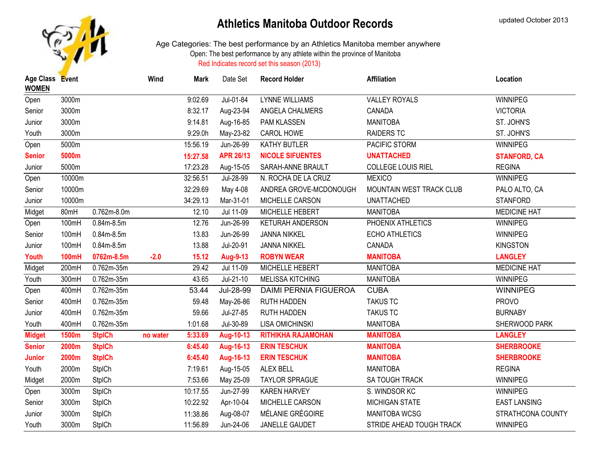

| Age Class Event<br><b>WOMEN</b> |              |                | Wind     | <b>Mark</b> | Date Set         | <b>Record Holder</b>         | <b>Affiliation</b>              | Location            |
|---------------------------------|--------------|----------------|----------|-------------|------------------|------------------------------|---------------------------------|---------------------|
| Open                            | 3000m        |                |          | 9:02.69     | Jul-01-84        | <b>LYNNE WILLIAMS</b>        | VALLEY ROYALS                   | WINNIPEG            |
| Senior                          | 3000m        |                |          | 8:32.17     | Aug-23-94        | ANGELA CHALMERS              | <b>CANADA</b>                   | <b>VICTORIA</b>     |
| Junior                          | 3000m        |                |          | 9:14.81     | Aug-16-85        | PAM KLASSEN                  | <b>MANITOBA</b>                 | ST. JOHN'S          |
| Youth                           | 3000m        |                |          | 9:29.0h     | May-23-82        | CAROL HOWE                   | <b>RAIDERS TC</b>               | ST. JOHN'S          |
| Open                            | 5000m        |                |          | 15:56.19    | Jun-26-99        | <b>KATHY BUTLER</b>          | PACIFIC STORM                   | WINNIPEG            |
| <b>Senior</b>                   | 5000m        |                |          | 15:27.58    | <b>APR 26/13</b> | <b>NICOLE SIFUENTES</b>      | <b>UNATTACHED</b>               | <b>STANFORD, CA</b> |
| Junior                          | 5000m        |                |          | 17:23.28    | Aug-15-05        | SARAH-ANNE BRAULT            | <b>COLLEGE LOUIS RIEL</b>       | <b>REGINA</b>       |
| Open                            | 10000m       |                |          | 32:56.51    | Jul-28-99        | N. ROCHA DE LA CRUZ          | <b>MEXICO</b>                   | WINNIPEG            |
| Senior                          | 10000m       |                |          | 32:29.69    | May 4-08         | ANDREA GROVE-MCDONOUGH       | <b>MOUNTAIN WEST TRACK CLUB</b> | PALO ALTO, CA       |
| Junior                          | 10000m       |                |          | 34:29.13    | Mar-31-01        | MICHELLE CARSON              | <b>UNATTACHED</b>               | <b>STANFORD</b>     |
| Midget                          | 80mH         | 0.762m-8.0m    |          | 12.10       | Jul 11-09        | MICHELLE HEBERT              | <b>MANITOBA</b>                 | <b>MEDICINE HAT</b> |
| Open                            | 100mH        | $0.84m - 8.5m$ |          | 12.76       | Jun-26-99        | KETURAH ANDERSON             | PHOENIX ATHLETICS               | <b>WINNIPEG</b>     |
| Senior                          | 100mH        | $0.84m - 8.5m$ |          | 13.83       | Jun-26-99        | <b>JANNA NIKKEL</b>          | <b>ECHO ATHLETICS</b>           | WINNIPEG            |
| Junior                          | 100mH        | $0.84m - 8.5m$ |          | 13.88       | Jul-20-91        | <b>JANNA NIKKEL</b>          | CANADA                          | <b>KINGSTON</b>     |
| Youth                           | <b>100mH</b> | 0762m-8.5m     | $-2.0$   | 15.12       | Aug-9-13         | <b>ROBYN WEAR</b>            | <b>MANITOBA</b>                 | <b>LANGLEY</b>      |
| Midget                          | 200mH        | 0.762m-35m     |          | 29.42       | Jul 11-09        | MICHELLE HEBERT              | <b>MANITOBA</b>                 | <b>MEDICINE HAT</b> |
| Youth                           | 300mH        | 0.762m-35m     |          | 43.65       | Jul-21-10        | MELISSA KITCHING             | <b>MANITOBA</b>                 | WINNIPEG            |
| Open                            | 400mH        | 0.762m-35m     |          | 53.44       | Jul-28-99        | <b>DAIMI PERNIA FIGUEROA</b> | <b>CUBA</b>                     | <b>WINNIPEG</b>     |
| Senior                          | 400mH        | 0.762m-35m     |          | 59.48       | May-26-86        | <b>RUTH HADDEN</b>           | <b>TAKUS TC</b>                 | <b>PROVO</b>        |
| Junior                          | 400mH        | 0.762m-35m     |          | 59.66       | Jul-27-85        | RUTH HADDEN                  | <b>TAKUS TC</b>                 | <b>BURNABY</b>      |
| Youth                           | 400mH        | 0.762m-35m     |          | 1:01.68     | Jul-30-89        | <b>LISA OMICHINSKI</b>       | <b>MANITOBA</b>                 | SHERWOOD PARK       |
| <b>Midget</b>                   | 1500m        | <b>StpICh</b>  | no water | 5:33.69     | Aug-10-13        | <b>RITHIKHA RAJAMOHAN</b>    | <b>MANITOBA</b>                 | <b>LANGLEY</b>      |
| <b>Senior</b>                   | 2000m        | <b>StpICh</b>  |          | 6:45.40     | Aug-16-13        | <b>ERIN TESCHUK</b>          | <b>MANITOBA</b>                 | <b>SHERBROOKE</b>   |
| <b>Junior</b>                   | 2000m        | <b>StpICh</b>  |          | 6:45.40     | Aug-16-13        | <b>ERIN TESCHUK</b>          | <b>MANITOBA</b>                 | <b>SHERBROOKE</b>   |
| Youth                           | 2000m        | <b>StpICh</b>  |          | 7:19.61     | Aug-15-05        | <b>ALEX BELL</b>             | <b>MANITOBA</b>                 | <b>REGINA</b>       |
| Midget                          | 2000m        | <b>StpICh</b>  |          | 7:53.66     | May 25-09        | <b>TAYLOR SPRAGUE</b>        | SA TOUGH TRACK                  | WINNIPEG            |
| Open                            | 3000m        | <b>StpICh</b>  |          | 10:17.55    | Jun-27-99        | <b>KAREN HARVEY</b>          | S. WINDSOR KC                   | <b>WINNIPEG</b>     |
| Senior                          | 3000m        | StplCh         |          | 10:22.92    | Apr-10-04        | MICHELLE CARSON              | <b>MICHIGAN STATE</b>           | <b>EAST LANSING</b> |
| Junior                          | 3000m        | <b>StpICh</b>  |          | 11:38.86    | Aug-08-07        | MÉLANIE GRÉGOIRE             | <b>MANITOBA WCSG</b>            | STRATHCONA COUNTY   |
| Youth                           | 3000m        | <b>StpICh</b>  |          | 11:56.89    | Jun-24-06        | JANELLE GAUDET               | STRIDE AHEAD TOUGH TRACK        | <b>WINNIPEG</b>     |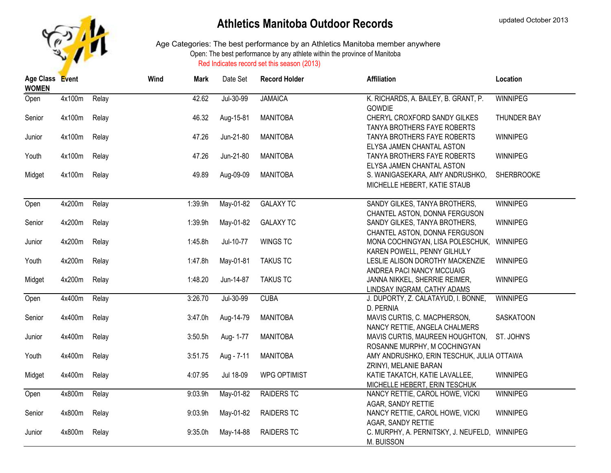

| Age Class Event<br><b>WOMEN</b> |        |       | Wind | <b>Mark</b> | Date Set   | <b>Record Holder</b> | <b>Affiliation</b>                                                 | Location          |
|---------------------------------|--------|-------|------|-------------|------------|----------------------|--------------------------------------------------------------------|-------------------|
| Open                            | 4x100m | Relay |      | 42.62       | Jul-30-99  | <b>JAMAICA</b>       | K. RICHARDS, A. BAILEY, B. GRANT, P.<br><b>GOWDIE</b>              | <b>WINNIPEG</b>   |
| Senior                          | 4x100m | Relay |      | 46.32       | Aug-15-81  | <b>MANITOBA</b>      | CHERYL CROXFORD SANDY GILKES<br>TANYA BROTHERS FAYE ROBERTS        | THUNDER BAY       |
| Junior                          | 4x100m | Relay |      | 47.26       | Jun-21-80  | <b>MANITOBA</b>      | TANYA BROTHERS FAYE ROBERTS<br>ELYSA JAMEN CHANTAL ASTON           | WINNIPEG          |
| Youth                           | 4x100m | Relay |      | 47.26       | Jun-21-80  | <b>MANITOBA</b>      | TANYA BROTHERS FAYE ROBERTS<br>ELYSA JAMEN CHANTAL ASTON           | WINNIPEG          |
| Midget                          | 4x100m | Relay |      | 49.89       | Aug-09-09  | <b>MANITOBA</b>      | S. WANIGASEKARA, AMY ANDRUSHKO,<br>MICHELLE HEBERT, KATIE STAUB    | <b>SHERBROOKE</b> |
| Open                            | 4x200m | Relay |      | 1:39.9h     | May-01-82  | <b>GALAXY TC</b>     | SANDY GILKES, TANYA BROTHERS,<br>CHANTEL ASTON, DONNA FERGUSON     | <b>WINNIPEG</b>   |
| Senior                          | 4x200m | Relay |      | 1:39.9h     | May-01-82  | <b>GALAXY TC</b>     | SANDY GILKES, TANYA BROTHERS,<br>CHANTEL ASTON, DONNA FERGUSON     | WINNIPEG          |
| Junior                          | 4x200m | Relay |      | 1:45.8h     | Jul-10-77  | <b>WINGS TC</b>      | MONA COCHINGYAN, LISA POLESCHUK,<br>KAREN POWELL, PENNY GILHULY    | WINNIPEG          |
| Youth                           | 4x200m | Relay |      | 1:47.8h     | May-01-81  | <b>TAKUS TC</b>      | LESLIE ALISON DOROTHY MACKENZIE<br>ANDREA PACI NANCY MCCUAIG       | <b>WINNIPEG</b>   |
| Midget                          | 4x200m | Relay |      | 1:48.20     | Jun-14-87  | <b>TAKUS TC</b>      | JANNA NIKKEL, SHERRIE REIMER,<br>LINDSAY INGRAM, CATHY ADAMS       | WINNIPEG          |
| Open                            | 4x400m | Relay |      | 3:26.70     | Jul-30-99  | <b>CUBA</b>          | J. DUPORTY, Z. CALATAYUD, I. BONNE,<br>D. PERNIA                   | WINNIPEG          |
| Senior                          | 4x400m | Relay |      | 3:47.0h     | Aug-14-79  | <b>MANITOBA</b>      | MAVIS CURTIS, C. MACPHERSON,<br>NANCY RETTIE, ANGELA CHALMERS      | <b>SASKATOON</b>  |
| Junior                          | 4x400m | Relay |      | 3:50.5h     | Aug- 1-77  | <b>MANITOBA</b>      | MAVIS CURTIS, MAUREEN HOUGHTON,<br>ROSANNE MURPHY, M COCHINGYAN    | ST. JOHN'S        |
| Youth                           | 4x400m | Relay |      | 3:51.75     | Aug - 7-11 | <b>MANITOBA</b>      | AMY ANDRUSHKO, ERIN TESCHUK, JULIA OTTAWA<br>ZRINYI, MELANIE BARAN |                   |
| Midget                          | 4x400m | Relay |      | 4:07.95     | Jul 18-09  | <b>WPG OPTIMIST</b>  | KATIE TAKATCH, KATIE LAVALLEE,<br>MICHELLE HEBERT, ERIN TESCHUK    | <b>WINNIPEG</b>   |
| Open                            | 4x800m | Relay |      | 9:03.9h     | May-01-82  | RAIDERS TC           | NANCY RETTIE, CAROL HOWE, VICKI<br>AGAR, SANDY RETTIE              | WINNIPEG          |
| Senior                          | 4x800m | Relay |      | 9:03.9h     | May-01-82  | <b>RAIDERS TC</b>    | NANCY RETTIE, CAROL HOWE, VICKI<br>AGAR, SANDY RETTIE              | <b>WINNIPEG</b>   |
| Junior                          | 4x800m | Relay |      | 9:35.0h     | May-14-88  | RAIDERS TC           | C. MURPHY, A. PERNITSKY, J. NEUFELD, WINNIPEG<br>M. BUISSON        |                   |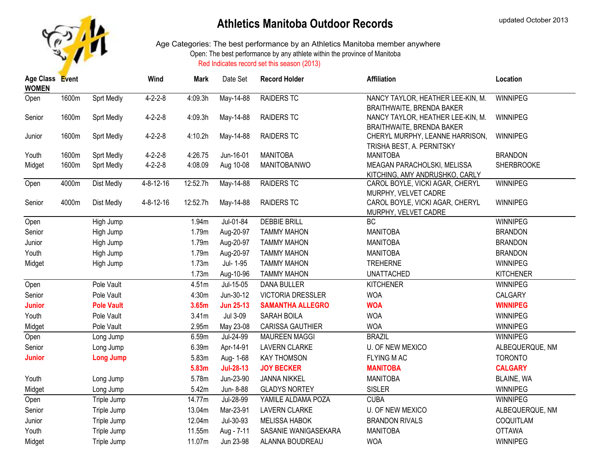

| Age Class Event<br><b>WOMEN</b> |       |                   | Wind            | Mark     | Date Set         | <b>Record Holder</b>     | <b>Affiliation</b>                                                | Location          |
|---------------------------------|-------|-------------------|-----------------|----------|------------------|--------------------------|-------------------------------------------------------------------|-------------------|
| Open                            | 1600m | Sprt Medly        | $4 - 2 - 2 - 8$ | 4:09.3h  | May-14-88        | RAIDERS TC               | NANCY TAYLOR, HEATHER LEE-KIN, M.                                 | WINNIPEG          |
|                                 |       |                   |                 |          |                  |                          | <b>BRAITHWAITE, BRENDA BAKER</b>                                  |                   |
| Senior                          | 1600m | <b>Sprt Medly</b> | $4 - 2 - 2 - 8$ | 4:09.3h  | May-14-88        | <b>RAIDERS TC</b>        | NANCY TAYLOR, HEATHER LEE-KIN, M.                                 | <b>WINNIPEG</b>   |
|                                 |       |                   |                 |          |                  |                          | BRAITHWAITE, BRENDA BAKER                                         |                   |
| Junior                          | 1600m | Sprt Medly        | $4 - 2 - 2 - 8$ | 4:10.2h  | May-14-88        | <b>RAIDERS TC</b>        | CHERYL MURPHY, LEANNE HARRISON,                                   | WINNIPEG          |
|                                 |       |                   |                 |          |                  |                          | TRISHA BEST, A. PERNITSKY                                         |                   |
| Youth                           | 1600m | Sprt Medly        | $4 - 2 - 2 - 8$ | 4:26.75  | Jun-16-01        | <b>MANITOBA</b>          | <b>MANITOBA</b>                                                   | <b>BRANDON</b>    |
| Midget                          | 1600m | Sprt Medly        | $4 - 2 - 2 - 8$ | 4:08.09  | Aug 10-08        | MANITOBA/NWO             | MEAGAN PARACHOLSKI, MELISSA                                       | <b>SHERBROOKE</b> |
|                                 | 4000m | Dist Medly        | 4-8-12-16       | 12:52.7h | May-14-88        | <b>RAIDERS TC</b>        | KITCHING, AMY ANDRUSHKO, CARLY<br>CAROL BOYLE, VICKI AGAR, CHERYL | WINNIPEG          |
| Open                            |       |                   |                 |          |                  |                          | MURPHY, VELVET CADRE                                              |                   |
| Senior                          | 4000m | Dist Medly        | 4-8-12-16       | 12:52.7h | May-14-88        | RAIDERS TC               | CAROL BOYLE, VICKI AGAR, CHERYL                                   | WINNIPEG          |
|                                 |       |                   |                 |          |                  |                          | MURPHY, VELVET CADRE                                              |                   |
| Open                            |       | High Jump         |                 | 1.94m    | Jul-01-84        | <b>DEBBIE BRILL</b>      | <b>BC</b>                                                         | <b>WINNIPEG</b>   |
| Senior                          |       | High Jump         |                 | 1.79m    | Aug-20-97        | <b>TAMMY MAHON</b>       | <b>MANITOBA</b>                                                   | <b>BRANDON</b>    |
| Junior                          |       | High Jump         |                 | 1.79m    | Aug-20-97        | <b>TAMMY MAHON</b>       | <b>MANITOBA</b>                                                   | <b>BRANDON</b>    |
| Youth                           |       | High Jump         |                 | 1.79m    | Aug-20-97        | <b>TAMMY MAHON</b>       | <b>MANITOBA</b>                                                   | <b>BRANDON</b>    |
| Midget                          |       | High Jump         |                 | 1.73m    | Jul- 1-95        | <b>TAMMY MAHON</b>       | <b>TREHERNE</b>                                                   | WINNIPEG          |
|                                 |       |                   |                 | 1.73m    | Aug-10-96        | <b>TAMMY MAHON</b>       | <b>UNATTACHED</b>                                                 | <b>KITCHENER</b>  |
| Open                            |       | Pole Vault        |                 | 4.51m    | Jul-15-05        | DANA BULLER              | <b>KITCHENER</b>                                                  | WINNIPEG          |
| Senior                          |       | Pole Vault        |                 | 4:30m    | Jun-30-12        | <b>VICTORIA DRESSLER</b> | <b>WOA</b>                                                        | CALGARY           |
| <b>Junior</b>                   |       | <b>Pole Vault</b> |                 | 3.65m    | <b>Jun 25-13</b> | <b>SAMANTHA ALLEGRO</b>  | <b>WOA</b>                                                        | <b>WINNIPEG</b>   |
| Youth                           |       | Pole Vault        |                 | 3.41m    | Jul 3-09         | <b>SARAH BOILA</b>       | <b>WOA</b>                                                        | <b>WINNIPEG</b>   |
| Midget                          |       | Pole Vault        |                 | 2.95m    | May 23-08        | CARISSA GAUTHIER         | <b>WOA</b>                                                        | WINNIPEG          |
| Open                            |       | Long Jump         |                 | 6.59m    | Jul-24-99        | <b>MAUREEN MAGGI</b>     | <b>BRAZIL</b>                                                     | <b>WINNIPEG</b>   |
| Senior                          |       | Long Jump         |                 | 6.39m    | Apr-14-91        | <b>LAVERN CLARKE</b>     | <b>U. OF NEW MEXICO</b>                                           | ALBEQUERQUE, NM   |
| <b>Junior</b>                   |       | <b>Long Jump</b>  |                 | 5.83m    | Aug- 1-68        | <b>KAY THOMSON</b>       | <b>FLYING MAC</b>                                                 | <b>TORONTO</b>    |
|                                 |       |                   |                 | 5.83m    | <b>Jul-28-13</b> | <b>JOY BECKER</b>        | <b>MANITOBA</b>                                                   | <b>CALGARY</b>    |
| Youth                           |       | Long Jump         |                 | 5.78m    | Jun-23-90        | <b>JANNA NIKKEL</b>      | <b>MANITOBA</b>                                                   | BLAINE, WA        |
| Midget                          |       | Long Jump         |                 | 5.42m    | Jun-8-88         | <b>GLADYS NORTEY</b>     | <b>SISLER</b>                                                     | WINNIPEG          |
| Open                            |       | Triple Jump       |                 | 14.77m   | Jul-28-99        | YAMILE ALDAMA POZA       | <b>CUBA</b>                                                       | <b>WINNIPEG</b>   |
| Senior                          |       | Triple Jump       |                 | 13.04m   | Mar-23-91        | <b>LAVERN CLARKE</b>     | <b>U. OF NEW MEXICO</b>                                           | ALBEQUERQUE, NM   |
| Junior                          |       | Triple Jump       |                 | 12.04m   | Jul-30-93        | <b>MELISSA HABOK</b>     | <b>BRANDON RIVALS</b>                                             | COQUITLAM         |
| Youth                           |       | Triple Jump       |                 | 11.55m   | Aug - 7-11       | SASANIE WANIGASEKARA     | <b>MANITOBA</b>                                                   | <b>OTTAWA</b>     |
| Midget                          |       | Triple Jump       |                 | 11.07m   | Jun 23-98        | ALANNA BOUDREAU          | <b>WOA</b>                                                        | <b>WINNIPEG</b>   |
|                                 |       |                   |                 |          |                  |                          |                                                                   |                   |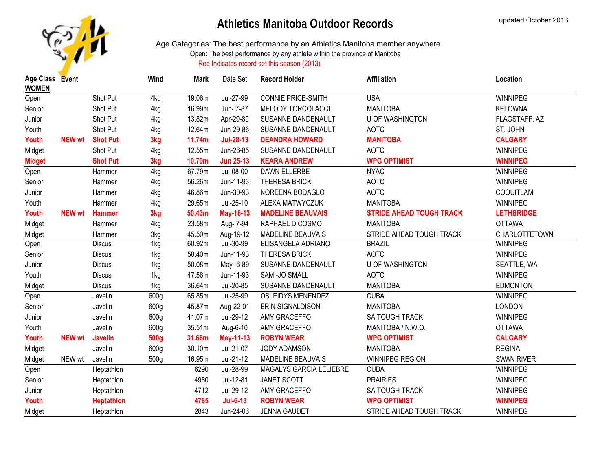

| Age Class Event<br><b>WOMEN</b> |               |                   | Wind             | <b>Mark</b> | Date Set         | <b>Record Holder</b>      | <b>Affiliation</b>              | Location          |
|---------------------------------|---------------|-------------------|------------------|-------------|------------------|---------------------------|---------------------------------|-------------------|
| Open                            |               | Shot Put          | 4kg              | 19.06m      | Jul-27-99        | <b>CONNIE PRICE-SMITH</b> | <b>USA</b>                      | <b>WINNIPEG</b>   |
| Senior                          |               | Shot Put          | 4kg              | 16.99m      | Jun- 7-87        | MELODY TORCOLACCI         | <b>MANITOBA</b>                 | <b>KELOWNA</b>    |
| Junior                          |               | Shot Put          | 4kg              | 13.82m      | Apr-29-89        | SUSANNE DANDENAULT        | <b>U OF WASHINGTON</b>          | FLAGSTAFF, AZ     |
| Youth                           |               | Shot Put          | 4kg              | 12.64m      | Jun-29-86        | SUSANNE DANDENAULT        | <b>AOTC</b>                     | ST. JOHN          |
| Youth                           | <b>NEW wt</b> | <b>Shot Put</b>   | 3kg              | 11.74m      | <b>Jul-28-13</b> | <b>DEANDRA HOWARD</b>     | <b>MANITOBA</b>                 | <b>CALGARY</b>    |
| Midget                          |               | Shot Put          | 4kg              | 12.55m      | Jun-26-85        | SUSANNE DANDENAULT        | <b>AOTC</b>                     | WINNIPEG          |
| <b>Midget</b>                   |               | <b>Shot Put</b>   | 3kg              | 10.79m      | <b>Jun 25-13</b> | <b>KEARA ANDREW</b>       | <b>WPG OPTIMIST</b>             | <b>WINNIPEG</b>   |
| Open                            |               | Hammer            | 4kg              | 67.79m      | Jul-08-00        | DAWN ELLERBE              | <b>NYAC</b>                     | <b>WINNIPEG</b>   |
| Senior                          |               | Hammer            | 4kg              | 56.26m      | Jun-11-93        | <b>THERESA BRICK</b>      | <b>AOTC</b>                     | <b>WINNIPEG</b>   |
| Junior                          |               | Hammer            | 4kg              | 46.86m      | Jun-30-93        | NOREENA BODAGLO           | <b>AOTC</b>                     | COQUITLAM         |
| Youth                           |               | Hammer            | 4kg              | 29.65m      | Jul-25-10        | ALEXA MATWYCZUK           | <b>MANITOBA</b>                 | <b>WINNIPEG</b>   |
| <b>Youth</b>                    | <b>NEW wt</b> | <b>Hammer</b>     | 3kg              | 50.43m      | <b>May-18-13</b> | <b>MADELINE BEAUVAIS</b>  | <b>STRIDE AHEAD TOUGH TRACK</b> | <b>LETHBRIDGE</b> |
| Midget                          |               | Hammer            | 4kg              | 23.58m      | Aug- 7-94        | RAPHAEL DICOSMO           | <b>MANITOBA</b>                 | <b>OTTAWA</b>     |
| Midget                          |               | Hammer            | 3kg              | 45.50m      | Aug-19-12        | MADELINE BEAUVAIS         | STRIDE AHEAD TOUGH TRACK        | CHARLOTTETOWN     |
| Open                            |               | <b>Discus</b>     | 1kg              | 60.92m      | Jul-30-99        | ELISANGELA ADRIANO        | <b>BRAZIL</b>                   | <b>WINNIPEG</b>   |
| Senior                          |               | <b>Discus</b>     | 1kg              | 58.40m      | Jun-11-93        | THERESA BRICK             | <b>AOTC</b>                     | WINNIPEG          |
| Junior                          |               | <b>Discus</b>     | 1kg              | 50.08m      | May- 6-89        | SUSANNE DANDENAULT        | <b>U OF WASHINGTON</b>          | SEATTLE, WA       |
| Youth                           |               | <b>Discus</b>     | 1kg              | 47.56m      | Jun-11-93        | SAMI-JO SMALL             | <b>AOTC</b>                     | WINNIPEG          |
| Midget                          |               | <b>Discus</b>     | 1kg              | 36.64m      | Jul-20-85        | SUSANNE DANDENAULT        | <b>MANITOBA</b>                 | <b>EDMONTON</b>   |
| Open                            |               | Javelin           | 600g             | 65.85m      | Jul-25-99        | <b>OSLEIDYS MENENDEZ</b>  | <b>CUBA</b>                     | <b>WINNIPEG</b>   |
| Senior                          |               | Javelin           | 600g             | 45.87m      | Aug-22-01        | ERIN SIGNALDISON          | <b>MANITOBA</b>                 | <b>LONDON</b>     |
| Junior                          |               | Javelin           | 600g             | 41.07m      | Jul-29-12        | AMY GRACEFFO              | SA TOUGH TRACK                  | <b>WINNIPEG</b>   |
| Youth                           |               | Javelin           | 600g             | 35.51m      | Aug-6-10         | AMY GRACEFFO              | MANITOBA / N.W.O.               | <b>OTTAWA</b>     |
| <b>Youth</b>                    | <b>NEW wt</b> | <b>Javelin</b>    | 500g             | 31.66m      | <b>May-11-13</b> | <b>ROBYN WEAR</b>         | <b>WPG OPTIMIST</b>             | <b>CALGARY</b>    |
| Midget                          |               | Javelin           | 600g             | 30.10m      | Jul-21-07        | <b>JODY ADAMSON</b>       | <b>MANITOBA</b>                 | <b>REGINA</b>     |
| Midget                          | NEW wt        | Javelin           | 500 <sub>g</sub> | 16.95m      | Jul-21-12        | MADELINE BEAUVAIS         | <b>WINNIPEG REGION</b>          | <b>SWAN RIVER</b> |
| Open                            |               | Heptathlon        |                  | 6290        | Jul-28-99        | MAGALYS GARCIA LELIEBRE   | <b>CUBA</b>                     | WINNIPEG          |
| Senior                          |               | Heptathlon        |                  | 4980        | Jul-12-81        | JANET SCOTT               | <b>PRAIRIES</b>                 | <b>WINNIPEG</b>   |
| Junior                          |               | Heptathlon        |                  | 4712        | Jul-29-12        | AMY GRACEFFO              | SA TOUGH TRACK                  | <b>WINNIPEG</b>   |
| <b>Youth</b>                    |               | <b>Heptathlon</b> |                  | 4785        | <b>Jul-6-13</b>  | <b>ROBYN WEAR</b>         | <b>WPG OPTIMIST</b>             | <b>WINNIPEG</b>   |
| Midget                          |               | Heptathlon        |                  | 2843        | Jun-24-06        | <b>JENNA GAUDET</b>       | STRIDE AHEAD TOUGH TRACK        | <b>WINNIPEG</b>   |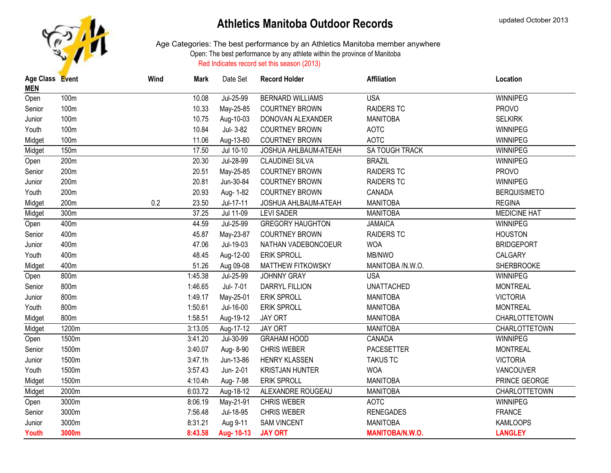

| Age Class Event<br><b>MEN</b> |       | Wind | Mark    | Date Set   | <b>Record Holder</b>     | <b>Affiliation</b>     | Location            |
|-------------------------------|-------|------|---------|------------|--------------------------|------------------------|---------------------|
| Open                          | 100m  |      | 10.08   | Jul-25-99  | <b>BERNARD WILLIAMS</b>  | <b>USA</b>             | <b>WINNIPEG</b>     |
| Senior                        | 100m  |      | 10.33   | May-25-85  | <b>COURTNEY BROWN</b>    | <b>RAIDERS TC</b>      | <b>PROVO</b>        |
| Junior                        | 100m  |      | 10.75   | Aug-10-03  | DONOVAN ALEXANDER        | <b>MANITOBA</b>        | <b>SELKIRK</b>      |
| Youth                         | 100m  |      | 10.84   | Jul- 3-82  | <b>COURTNEY BROWN</b>    | <b>AOTC</b>            | WINNIPEG            |
| Midget                        | 100m  |      | 11.06   | Aug-13-80  | <b>COURTNEY BROWN</b>    | <b>AOTC</b>            | WINNIPEG            |
| Midget                        | 150m  |      | 17.50   | Jul 10-10  | JOSHUA AHLBAUM-ATEAH     | SA TOUGH TRACK         | WINNIPEG            |
| Open                          | 200m  |      | 20.30   | Jul-28-99  | <b>CLAUDINEI SILVA</b>   | <b>BRAZIL</b>          | WINNIPEG            |
| Senior                        | 200m  |      | 20.51   | May-25-85  | <b>COURTNEY BROWN</b>    | <b>RAIDERS TC</b>      | <b>PROVO</b>        |
| Junior                        | 200m  |      | 20.81   | Jun-30-84  | <b>COURTNEY BROWN</b>    | RAIDERS TC             | WINNIPEG            |
| Youth                         | 200m  |      | 20.93   | Aug- 1-82  | <b>COURTNEY BROWN</b>    | CANADA                 | <b>BERQUISIMETO</b> |
| Midget                        | 200m  | 0.2  | 23.50   | Jul-17-11  | JOSHUA AHLBAUM-ATEAH     | <b>MANITOBA</b>        | <b>REGINA</b>       |
| Midget                        | 300m  |      | 37.25   | Jul 11-09  | <b>LEVI SADER</b>        | <b>MANITOBA</b>        | <b>MEDICINE HAT</b> |
| Open                          | 400m  |      | 44.59   | Jul-25-99  | <b>GREGORY HAUGHTON</b>  | <b>JAMAICA</b>         | <b>WINNIPEG</b>     |
| Senior                        | 400m  |      | 45.87   | May-23-87  | <b>COURTNEY BROWN</b>    | <b>RAIDERS TC</b>      | <b>HOUSTON</b>      |
| Junior                        | 400m  |      | 47.06   | Jul-19-03  | NATHAN VADEBONCOEUR      | <b>WOA</b>             | <b>BRIDGEPORT</b>   |
| Youth                         | 400m  |      | 48.45   | Aug-12-00  | <b>ERIK SPROLL</b>       | MB/NWO                 | CALGARY             |
| Midget                        | 400m  |      | 51.26   | Aug 09-08  | <b>MATTHEW FITKOWSKY</b> | MANITOBA /N.W.O.       | <b>SHERBROOKE</b>   |
| Open                          | 800m  |      | 1:45.38 | Jul-25-99  | <b>JOHNNY GRAY</b>       | <b>USA</b>             | WINNIPEG            |
| Senior                        | 800m  |      | 1:46.65 | Jul- 7-01  | DARRYL FILLION           | <b>UNATTACHED</b>      | <b>MONTREAL</b>     |
| Junior                        | 800m  |      | 1:49.17 | May-25-01  | <b>ERIK SPROLL</b>       | <b>MANITOBA</b>        | <b>VICTORIA</b>     |
| Youth                         | 800m  |      | 1:50.61 | Jul-16-00  | <b>ERIK SPROLL</b>       | <b>MANITOBA</b>        | <b>MONTREAL</b>     |
| Midget                        | 800m  |      | 1:58.51 | Aug-19-12  | JAY ORT                  | <b>MANITOBA</b>        | CHARLOTTETOWN       |
| Midget                        | 1200m |      | 3:13.05 | Aug-17-12  | JAY ORT                  | <b>MANITOBA</b>        | CHARLOTTETOWN       |
| Open                          | 1500m |      | 3:41.20 | Jul-30-99  | <b>GRAHAM HOOD</b>       | CANADA                 | WINNIPEG            |
| Senior                        | 1500m |      | 3:40.07 | Aug- 8-90  | <b>CHRIS WEBER</b>       | <b>PACESETTER</b>      | <b>MONTREAL</b>     |
| Junior                        | 1500m |      | 3:47.1h | Jun-13-86  | <b>HENRY KLASSEN</b>     | <b>TAKUS TC</b>        | <b>VICTORIA</b>     |
| Youth                         | 1500m |      | 3:57.43 | Jun-2-01   | <b>KRISTJAN HUNTER</b>   | <b>WOA</b>             | VANCOUVER           |
| Midget                        | 1500m |      | 4:10.4h | Aug- 7-98  | <b>ERIK SPROLL</b>       | <b>MANITOBA</b>        | PRINCE GEORGE       |
| Midget                        | 2000m |      | 6:03.72 | Aug-18-12  | ALEXANDRE ROUGEAU        | <b>MANITOBA</b>        | CHARLOTTETOWN       |
| Open                          | 3000m |      | 8:06.19 | May-21-91  | <b>CHRIS WEBER</b>       | AOTC                   | WINNIPEG            |
| Senior                        | 3000m |      | 7:56.48 | Jul-18-95  | <b>CHRIS WEBER</b>       | <b>RENEGADES</b>       | <b>FRANCE</b>       |
| Junior                        | 3000m |      | 8:31.21 | Aug 9-11   | <b>SAM VINCENT</b>       | <b>MANITOBA</b>        | <b>KAMLOOPS</b>     |
| Youth                         | 3000m |      | 8:43.58 | Aug- 10-13 | <b>JAY ORT</b>           | <b>MANITOBA/N.W.O.</b> | <b>LANGLEY</b>      |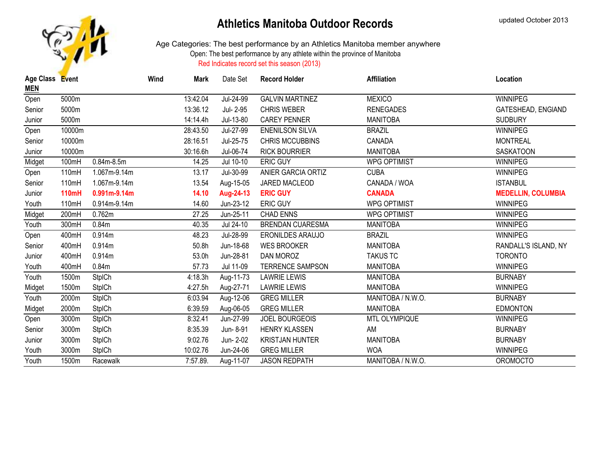

| Age Class Event |              |                | Wind | <b>Mark</b> | Date Set  | <b>Record Holder</b>    | <b>Affiliation</b>  | Location                  |
|-----------------|--------------|----------------|------|-------------|-----------|-------------------------|---------------------|---------------------------|
| <u>MEN</u>      |              |                |      |             |           |                         |                     |                           |
| Open            | 5000m        |                |      | 13:42.04    | Jul-24-99 | <b>GALVIN MARTINEZ</b>  | <b>MEXICO</b>       | WINNIPEG                  |
| Senior          | 5000m        |                |      | 13:36.12    | Jul- 2-95 | <b>CHRIS WEBER</b>      | <b>RENEGADES</b>    | GATESHEAD, ENGIAND        |
| Junior          | 5000m        |                |      | 14:14.4h    | Jul-13-80 | <b>CAREY PENNER</b>     | <b>MANITOBA</b>     | <b>SUDBURY</b>            |
| Open            | 10000m       |                |      | 28:43.50    | Jul-27-99 | <b>ENENILSON SILVA</b>  | <b>BRAZIL</b>       | <b>WINNIPEG</b>           |
| Senior          | 10000m       |                |      | 28:16.51    | Jul-25-75 | <b>CHRIS MCCUBBINS</b>  | CANADA              | <b>MONTREAL</b>           |
| Junior          | 10000m       |                |      | 30:16.6h    | Jul-06-74 | <b>RICK BOURRIER</b>    | <b>MANITOBA</b>     | <b>SASKATOON</b>          |
| Midget          | 100mH        | $0.84m - 8.5m$ |      | 14.25       | Jul 10-10 | <b>ERIC GUY</b>         | <b>WPG OPTIMIST</b> | <b>WINNIPEG</b>           |
| Open            | 110mH        | 1.067m-9.14m   |      | 13.17       | Jul-30-99 | ANIER GARCIA ORTIZ      | <b>CUBA</b>         | <b>WINNIPEG</b>           |
| Senior          | 110mH        | 1.067m-9.14m   |      | 13.54       | Aug-15-05 | JARED MACLEOD           | CANADA / WOA        | <b>ISTANBUL</b>           |
| Junior          | <b>110mH</b> | 0.991m-9.14m   |      | 14.10       | Aug-24-13 | <b>ERIC GUY</b>         | <b>CANADA</b>       | <b>MEDELLIN, COLUMBIA</b> |
| Youth           | 110mH        | 0.914m-9.14m   |      | 14.60       | Jun-23-12 | <b>ERIC GUY</b>         | <b>WPG OPTIMIST</b> | <b>WINNIPEG</b>           |
| Midget          | 200mH        | 0.762m         |      | 27.25       | Jun-25-11 | <b>CHAD ENNS</b>        | <b>WPG OPTIMIST</b> | <b>WINNIPEG</b>           |
| Youth           | 300mH        | 0.84m          |      | 40.35       | Jul 24-10 | <b>BRENDAN CUARESMA</b> | <b>MANITOBA</b>     | <b>WINNIPEG</b>           |
| Open            | 400mH        | 0.914m         |      | 48.23       | Jul-28-99 | ERONILDES ARAUJO        | <b>BRAZIL</b>       | <b>WINNIPEG</b>           |
| Senior          | 400mH        | 0.914m         |      | 50.8h       | Jun-18-68 | <b>WES BROOKER</b>      | <b>MANITOBA</b>     | RANDALL'S ISLAND, NY      |
| Junior          | 400mH        | 0.914m         |      | 53.0h       | Jun-28-81 | DAN MOROZ               | <b>TAKUS TC</b>     | <b>TORONTO</b>            |
| Youth           | 400mH        | 0.84m          |      | 57.73       | Jul 11-09 | <b>TERRENCE SAMPSON</b> | <b>MANITOBA</b>     | <b>WINNIPEG</b>           |
| Youth           | 1500m        | StplCh         |      | 4:18.3h     | Aug-11-73 | <b>LAWRIE LEWIS</b>     | <b>MANITOBA</b>     | <b>BURNABY</b>            |
| Midget          | 1500m        | StplCh         |      | 4:27.5h     | Aug-27-71 | <b>LAWRIE LEWIS</b>     | <b>MANITOBA</b>     | <b>WINNIPEG</b>           |
| Youth           | 2000m        | StplCh         |      | 6:03.94     | Aug-12-06 | <b>GREG MILLER</b>      | MANITOBA / N.W.O.   | <b>BURNABY</b>            |
| Midget          | 2000m        | StplCh         |      | 6:39.59     | Aug-06-05 | <b>GREG MILLER</b>      | <b>MANITOBA</b>     | <b>EDMONTON</b>           |
| Open            | 3000m        | StplCh         |      | 8:32.41     | Jun-27-99 | <b>JOEL BOURGEOIS</b>   | MTL OLYMPIQUE       | <b>WINNIPEG</b>           |
| Senior          | 3000m        | StplCh         |      | 8:35.39     | Jun-8-91  | <b>HENRY KLASSEN</b>    | AM                  | <b>BURNABY</b>            |
| Junior          | 3000m        | StplCh         |      | 9:02.76     | Jun-2-02  | <b>KRISTJAN HUNTER</b>  | <b>MANITOBA</b>     | <b>BURNABY</b>            |
| Youth           | 3000m        | <b>StpICh</b>  |      | 10:02.76    | Jun-24-06 | <b>GREG MILLER</b>      | <b>WOA</b>          | <b>WINNIPEG</b>           |
| Youth           | 1500m        | Racewalk       |      | 7:57.89.    | Aug-11-07 | <b>JASON REDPATH</b>    | MANITOBA / N.W.O.   | <b>OROMOCTO</b>           |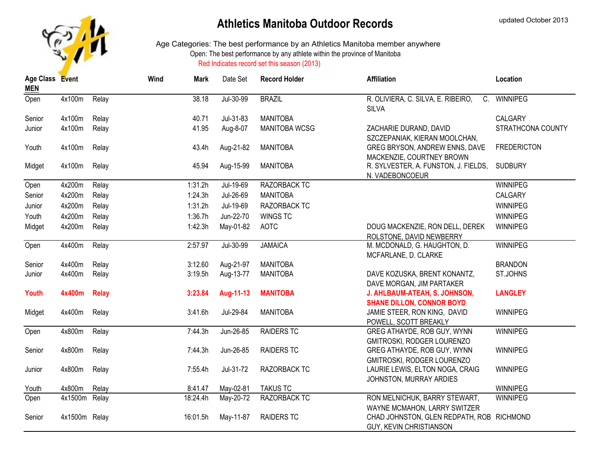

| Age Class Event<br><b>MEN</b> |               |              | Wind | <b>Mark</b> | Date Set  | <b>Record Holder</b> | <b>Affiliation</b>                                                   | Location           |
|-------------------------------|---------------|--------------|------|-------------|-----------|----------------------|----------------------------------------------------------------------|--------------------|
| Open                          | 4x100m        | Relay        |      | 38.18       | Jul-30-99 | <b>BRAZIL</b>        | R. OLIVIERA, C. SILVA, E. RIBEIRO,<br><b>SILVA</b>                   | C. WINNIPEG        |
| Senior                        | 4x100m        | Relay        |      | 40.71       | Jul-31-83 | <b>MANITOBA</b>      |                                                                      | CALGARY            |
| Junior                        | 4x100m        | Relay        |      | 41.95       | Aug-8-07  | MANITOBA WCSG        | ZACHARIE DURAND, DAVID<br>SZCZEPANIAK, KIERAN MOOLCHAN,              | STRATHCONA COUNTY  |
| Youth                         | 4x100m        | Relay        |      | 43.4h       | Aug-21-82 | <b>MANITOBA</b>      | GREG BRYSON, ANDREW ENNS, DAVE<br>MACKENZIE, COURTNEY BROWN          | <b>FREDERICTON</b> |
| Midget                        | 4x100m        | Relay        |      | 45.94       | Aug-15-99 | <b>MANITOBA</b>      | R. SYLVESTER, A. FUNSTON, J. FIELDS,<br>N. VADEBONCOEUR              | <b>SUDBURY</b>     |
| Open                          | 4x200m        | Relay        |      | 1:31.2h     | Jul-19-69 | RAZORBACK TC         |                                                                      | <b>WINNIPEG</b>    |
| Senior                        | 4x200m        | Relay        |      | 1:24.3h     | Jul-26-69 | <b>MANITOBA</b>      |                                                                      | CALGARY            |
| Junior                        | 4x200m        | Relay        |      | 1:31.2h     | Jul-19-69 | <b>RAZORBACK TC</b>  |                                                                      | <b>WINNIPEG</b>    |
| Youth                         | 4x200m        | Relay        |      | 1:36.7h     | Jun-22-70 | <b>WINGS TC</b>      |                                                                      | WINNIPEG           |
| Midget                        | 4x200m        | Relay        |      | 1:42.3h     | May-01-82 | <b>AOTC</b>          | DOUG MACKENZIE, RON DELL, DEREK<br>ROLSTONE, DAVID NEWBERRY          | WINNIPEG           |
| Open                          | 4x400m        | Relay        |      | 2:57.97     | Jul-30-99 | <b>JAMAICA</b>       | M. MCDONALD, G. HAUGHTON, D.<br>MCFARLANE, D. CLARKE                 | WINNIPEG           |
| Senior                        | 4x400m        | Relay        |      | 3:12.60     | Aug-21-97 | <b>MANITOBA</b>      |                                                                      | <b>BRANDON</b>     |
| Junior                        | 4x400m        | Relay        |      | 3:19.5h     | Aug-13-77 | <b>MANITOBA</b>      | DAVE KOZUSKA, BRENT KONANTZ,<br>DAVE MORGAN, JIM PARTAKER            | ST.JOHNS           |
| Youth                         | 4x400m        | <b>Relay</b> |      | 3:23.84     | Aug-11-13 | <b>MANITOBA</b>      | J. AHLBAUM-ATEAH, S. JOHNSON,<br><b>SHANE DILLON, CONNOR BOYD</b>    | <b>LANGLEY</b>     |
| Midget                        | 4x400m        | Relay        |      | 3:41.6h     | Jul-29-84 | <b>MANITOBA</b>      | JAMIE STEER, RON KING, DAVID<br>POWELL, SCOTT BREAKLY                | WINNIPEG           |
| Open                          | 4x800m        | Relay        |      | 7:44.3h     | Jun-26-85 | <b>RAIDERS TC</b>    | GREG ATHAYDE, ROB GUY, WYNN<br>GMITROSKI, RODGER LOURENZO            | WINNIPEG           |
| Senior                        | 4x800m        | Relay        |      | 7:44.3h     | Jun-26-85 | <b>RAIDERS TC</b>    | GREG ATHAYDE, ROB GUY, WYNN<br>GMITROSKI, RODGER LOURENZO            | <b>WINNIPEG</b>    |
| Junior                        | 4x800m        | Relay        |      | 7:55.4h     | Jul-31-72 | RAZORBACK TC         | LAURIE LEWIS, ELTON NOGA, CRAIG<br>JOHNSTON, MURRAY ARDIES           | WINNIPEG           |
| Youth                         | 4x800m        | Relay        |      | 8:41.47     | May-02-81 | <b>TAKUS TC</b>      |                                                                      | WINNIPEG           |
| Open                          | 4x1500m Relay |              |      | 18:24.4h    | May-20-72 | RAZORBACK TC         | RON MELNICHUK, BARRY STEWART,<br>WAYNE MCMAHON, LARRY SWITZER        | WINNIPEG           |
| Senior                        | 4x1500m Relay |              |      | 16:01.5h    | May-11-87 | <b>RAIDERS TC</b>    | CHAD JOHNSTON, GLEN REDPATH, ROB RICHMOND<br>GUY, KEVIN CHRISTIANSON |                    |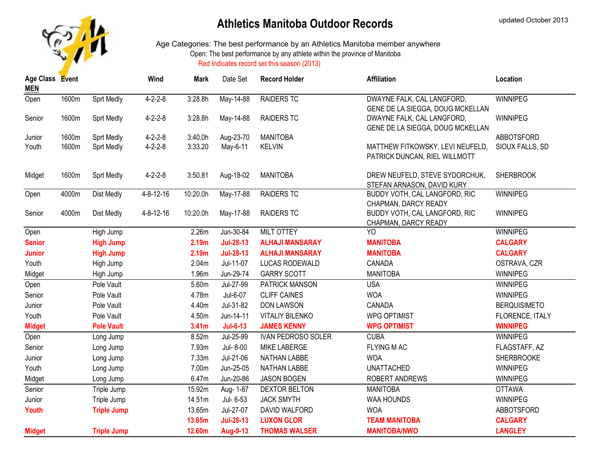

| Age Class Event<br><b>MEN</b> |       |                    | Wind              | <b>Mark</b>       | Date Set         | <b>Record Holder</b>      | <b>Affiliation</b>               | Location            |
|-------------------------------|-------|--------------------|-------------------|-------------------|------------------|---------------------------|----------------------------------|---------------------|
| Open                          | 1600m | <b>Sprt Medly</b>  | $4 - 2 - 2 - 8$   | 3:28.8h           | May-14-88        | <b>RAIDERS TC</b>         | DWAYNE FALK, CAL LANGFORD,       | <b>WINNIPEG</b>     |
|                               |       |                    |                   |                   |                  |                           | GENE DE LA SIEGGA, DOUG MCKELLAN |                     |
| Senior                        | 1600m | Sprt Medly         | $4 - 2 - 2 - 8$   | 3:28.8h           | May-14-88        | <b>RAIDERS TC</b>         | DWAYNE FALK, CAL LANGFORD,       | <b>WINNIPEG</b>     |
|                               |       |                    |                   |                   |                  |                           | GENE DE LA SIEGGA, DOUG MCKELLAN |                     |
| Junior                        | 1600m | Sprt Medly         | $4 - 2 - 2 - 8$   | 3:40.0h           | Aug-23-70        | <b>MANITOBA</b>           |                                  | ABBOTSFORD          |
| Youth                         | 1600m | Sprt Medly         | $4 - 2 - 2 - 8$   | 3:33.20           | May-6-11         | <b>KELVIN</b>             | MATTHEW FITKOWSKY, LEVI NEUFELD, | SIOUX FALLS, SD     |
|                               |       |                    |                   |                   |                  |                           | PATRICK DUNCAN, RIEL WILLMOTT    |                     |
| Midget                        | 1600m | Sprt Medly         | $4 - 2 - 2 - 8$   | 3:50.81           | Aug-18-02        | <b>MANITOBA</b>           | DREW NEUFELD, STEVE SYDORCHUK,   | <b>SHERBROOK</b>    |
|                               |       |                    |                   |                   |                  |                           | STEFAN ARNASON, DAVID KURY       |                     |
| Open                          | 4000m | Dist Medly         | 4-8-12-16         | 10:20.0h          | May-17-88        | <b>RAIDERS TC</b>         | BUDDY VOTH, CAL LANGFORD, RIC    | <b>WINNIPEG</b>     |
|                               |       |                    |                   |                   |                  |                           | CHAPMAN, DARCY READY             |                     |
| Senior                        | 4000m | Dist Medly         | $4 - 8 - 12 - 16$ | 10:20.0h          | May-17-88        | <b>RAIDERS TC</b>         | BUDDY VOTH, CAL LANGFORD, RIC    | WINNIPEG            |
|                               |       |                    |                   |                   |                  |                           | CHAPMAN, DARCY READY             |                     |
| Open                          |       | High Jump          |                   | 2.26m             | Jun-30-84        | <b>MILT OTTEY</b>         | YO                               | WINNIPEG            |
| <b>Senior</b>                 |       | <b>High Jump</b>   |                   | 2.19m             | <b>Jul-28-13</b> | <b>ALHAJI MANSARAY</b>    | <b>MANITOBA</b>                  | <b>CALGARY</b>      |
| <b>Junior</b>                 |       | <b>High Jump</b>   |                   | 2.19m             | <b>Jul-28-13</b> | <b>ALHAJI MANSARAY</b>    | <b>MANITOBA</b>                  | <b>CALGARY</b>      |
| Youth                         |       | High Jump          |                   | 2.04m             | Jul-11-07        | LUCAS RODEWALD            | CANADA                           | OSTRAVA, CZR        |
| Midget                        |       | High Jump          |                   | 1.96m             | Jun-29-74        | <b>GARRY SCOTT</b>        | <b>MANITOBA</b>                  | WINNIPEG            |
| Open                          |       | Pole Vault         |                   | 5.60m             | Jul-27-99        | PATRICK MANSON            | <b>USA</b>                       | WINNIPEG            |
| Senior                        |       | Pole Vault         |                   | 4.78m             | Jul-6-07         | <b>CLIFF CAINES</b>       | <b>WOA</b>                       | <b>WINNIPEG</b>     |
| Junior                        |       | Pole Vault         |                   | 4.40m             | Jul-31-82        | <b>DON LAWSON</b>         | CANADA                           | <b>BERQUISIMETO</b> |
| Youth                         |       | Pole Vault         |                   | 4.50m             | Jun-14-11        | <b>VITALIY BILENKO</b>    | <b>WPG OPTIMIST</b>              | FLORENCE, ITALY     |
| <b>Midget</b>                 |       | <b>Pole Vault</b>  |                   | 3.41 <sub>m</sub> | <b>Jul-6-13</b>  | <b>JAMES KENNY</b>        | <b>WPG OPTIMIST</b>              | <b>WINNIPEG</b>     |
| Open                          |       | Long Jump          |                   | 8.52m             | Jul-25-99        | <b>IVAN PEDROSO SOLER</b> | <b>CUBA</b>                      | WINNIPEG            |
| Senior                        |       | Long Jump          |                   | 7.93m             | Jul- 8-00        | <b>MIKE LABERGE</b>       | <b>FLYING MAC</b>                | FLAGSTAFF, AZ       |
| Junior                        |       | Long Jump          |                   | 7.33m             | Jul-21-06        | NATHAN LABBE              | <b>WOA</b>                       | <b>SHERBROOKE</b>   |
| Youth                         |       | Long Jump          |                   | 7.00m             | Jun-25-05        | <b>NATHAN LABBE</b>       | <b>UNATTACHED</b>                | WINNIPEG            |
| Midget                        |       | Long Jump          |                   | 6.47m             | Jun-20-86        | <b>JASON BOGEN</b>        | <b>ROBERT ANDREWS</b>            | WINNIPEG            |
| Senior                        |       | Triple Jump        |                   | 15.92m            | Aug- 1-87        | DEXTOR BELTON             | <b>MANITOBA</b>                  | <b>OTTAWA</b>       |
| Junior                        |       | Triple Jump        |                   | 14.51m            | Jul- 6-53        | <b>JACK SMYTH</b>         | WAA HOUNDS                       | WINNIPEG            |
| Youth                         |       | <b>Triple Jump</b> |                   | 13.65m            | Jul-27-07        | DAVID WALFORD             | <b>WOA</b>                       | ABBOTSFORD          |
|                               |       |                    |                   | 13.65m            | <b>Jul-28-13</b> | <b>LUXON GLOR</b>         | <b>TEAM MANITOBA</b>             | <b>CALGARY</b>      |
| <b>Midget</b>                 |       | <b>Triple Jump</b> |                   | 12.60m            | Aug-9-13         | <b>THOMAS WALSER</b>      | <b>MANITOBA/NWO</b>              | <b>LANGLEY</b>      |